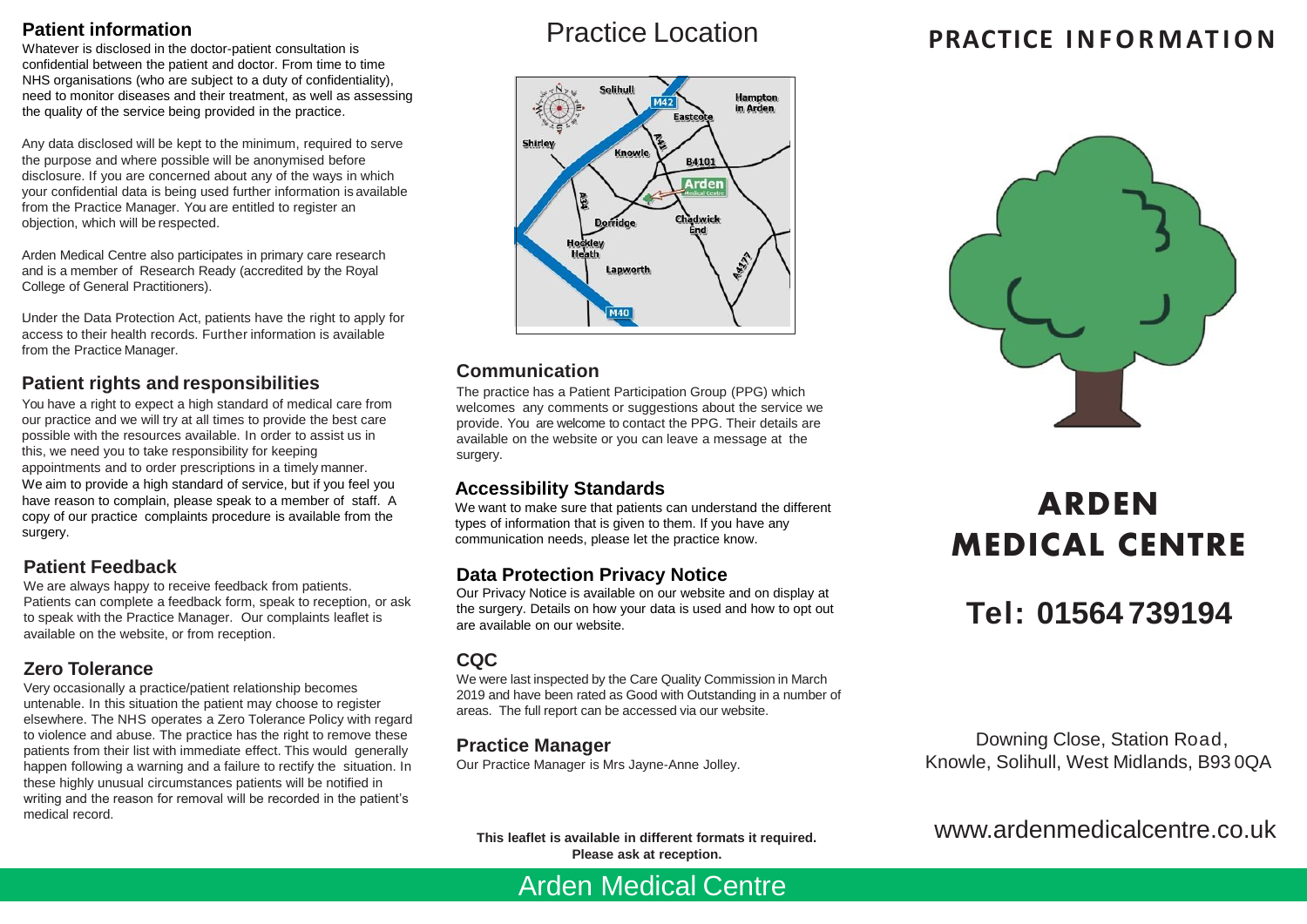# **Patient information**

Whatever is disclosed in the doctor-patient consultation is confidential between the patient and doctor. From time to time NHS organisations (who are subject to a duty of confidentiality), need to monitor diseases and their treatment, as well as assessing the quality of the service being provided in the practice.

Any data disclosed will be kept to the minimum, required to serve the purpose and where possible will be anonymised before disclosure. If you are concerned about any of the ways in which your confidential data is being used further information is available from the Practice Manager. You are entitled to register an objection, which will be respected.

Arden Medical Centre also participates in primary care research and is a member of Research Ready (accredited by the Royal College of General Practitioners).

Under the Data Protection Act, patients have the right to apply for . access to their health records. Further information is available from the Practice Manager.

# **Patient rights and responsibilities**

You have a right to expect a high standard of medical care from our practice and we will try at all times to provide the best care possible with the resources available. In order to assist us in this, we need you to take responsibility for keeping appointments and to order prescriptions in a timely manner. We aim to provide a high standard of service, but if you feel you have reason to complain, please speak to a member of staff. A copy of our practice complaints procedure is available from the surgery.

## **Patient Feedback**

We are always happy to receive feedback from patients. Patients can complete a feedback form, speak to reception, or ask to speak with the Practice Manager. Our complaints leaflet is available on the website, or from reception.

# **Zero Tolerance**

Very occasionally a practice/patient relationship becomes untenable. In this situation the patient may choose to register elsewhere. The NHS operates a Zero Tolerance Policy with regard to violence and abuse. The practice has the right to remove these patients from their list with immediate effect. This would generally happen following a warning and a failure to rectify the situation. In these highly unusual circumstances patients will be notified in writing and the reason for removal will be recorded in the patient's medical record.

# Practice Location



# **Communication**

The practice has a Patient Participation Group (PPG) which welcomes any comments or suggestions about the service we provide. You are welcome to contact the PPG. Their details are available on the website or you can leave a message at the surgery.

# **Accessibility Standards**

We want to make sure that patients can understand the different types of information that is given to them. If you have any communication needs, please let the practice know.

# **Data Protection Privacy Notice**

Our Privacy Notice is available on our website and on display at the surgery. Details on how your data is used and how to opt out are available on our website.

#### **CQC**

We were last inspected by the Care Quality Commission in March 2019 and have been rated as Good with Outstanding in a number of areas. The full report can be accessed via our website.

## **Practice Manager**

Our Practice Manager is Mrs Jayne-Anne Jolley.

**This leaflet is available in different formats it required. Please ask at reception.**

Arden Medical Centre

# **PRACTICE I N F O RM AT I O N**



# **ARDEN MEDICAL CENTRE**

# **Tel: 01564 739194**

Downing Close, Station Road, Knowle, Solihull, West Midlands, B93 0QA

www.ardenmedicalcentre.co.uk